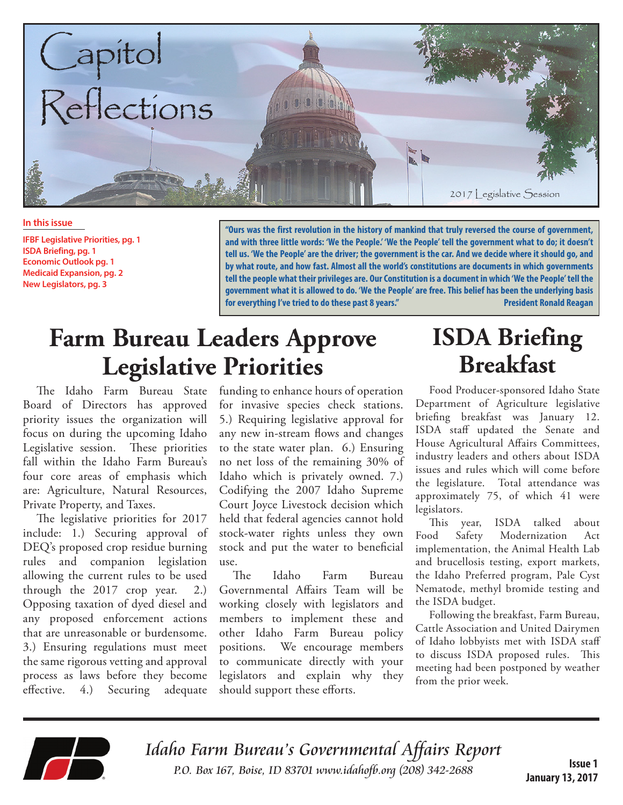

**In this issue**

**IFBF Legislative Priorities, pg. 1 ISDA Briefing, pg. 1 Economic Outlook pg. 1 Medicaid Expansion, pg. 2 New Legislators, pg. 3**

**"Ours was the first revolution in the history of mankind that truly reversed the course of government, and with three little words: 'We the People.' 'We the People' tell the government what to do; it doesn't tell us. 'We the People' are the driver; the government is the car. And we decide where it should go, and by what route, and how fast. Almost all the world's constitutions are documents in which governments tell the people what their privileges are. Our Constitution is a document in which 'We the People' tell the government what it is allowed to do. 'We the People' are free. This belief has been the underlying basis for everything I've tried to do these past 8 years." President Ronald Reagan**

# **Farm Bureau Leaders Approve Legislative Priorities**

The Idaho Farm Bureau State Board of Directors has approved priority issues the organization will focus on during the upcoming Idaho Legislative session. These priorities fall within the Idaho Farm Bureau's four core areas of emphasis which are: Agriculture, Natural Resources, Private Property, and Taxes.

The legislative priorities for 2017 include: 1.) Securing approval of DEQ's proposed crop residue burning rules and companion legislation allowing the current rules to be used through the 2017 crop year. 2.) Opposing taxation of dyed diesel and any proposed enforcement actions that are unreasonable or burdensome. 3.) Ensuring regulations must meet the same rigorous vetting and approval process as laws before they become effective. 4.) Securing adequate

funding to enhance hours of operation for invasive species check stations. 5.) Requiring legislative approval for any new in-stream flows and changes to the state water plan. 6.) Ensuring no net loss of the remaining 30% of Idaho which is privately owned. 7.) Codifying the 2007 Idaho Supreme Court Joyce Livestock decision which held that federal agencies cannot hold stock-water rights unless they own stock and put the water to beneficial use.

The Idaho Farm Bureau Governmental Affairs Team will be working closely with legislators and members to implement these and other Idaho Farm Bureau policy positions. We encourage members to communicate directly with your legislators and explain why they should support these efforts.

# **ISDA Briefing Breakfast**

Food Producer-sponsored Idaho State Department of Agriculture legislative briefing breakfast was January 12. ISDA staff updated the Senate and House Agricultural Affairs Committees, industry leaders and others about ISDA issues and rules which will come before the legislature. Total attendance was approximately 75, of which 41 were legislators.

This year, ISDA talked about Food Safety Modernization Act implementation, the Animal Health Lab and brucellosis testing, export markets, the Idaho Preferred program, Pale Cyst Nematode, methyl bromide testing and the ISDA budget.

Following the breakfast, Farm Bureau, Cattle Association and United Dairymen of Idaho lobbyists met with ISDA staff to discuss ISDA proposed rules. This meeting had been postponed by weather from the prior week.



Idaho Farm Bureau's Governmental Affairs Report P.O. Box 167, Boise, ID 83701 www.idahofb.org (208) 342-2688

**Issue 1 January 13, 2017**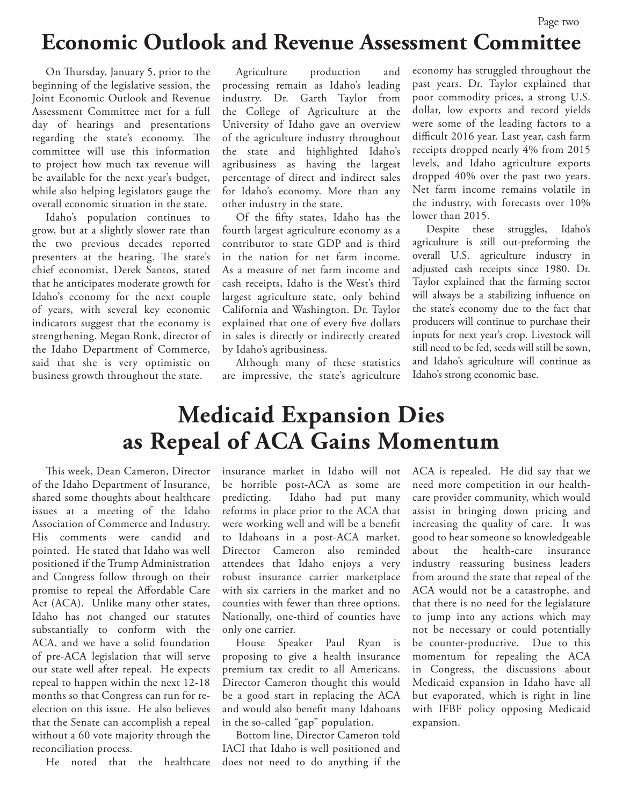### **Economic Outlook and Revenue Assessment Committee**

On Thursday, January 5, prior to the beginning of the legislative session, the Joint Economic Outlook and Revenue Assessment Committee met for a full day of hearings and presentations regarding the state's economy. The committee will use this information to project how much tax revenue will be available for the next year's budget, while also helping legislators gauge the overall economic situation in the state.

Idaho's population continues to grow, but at a slightly slower rate than the two previous decades reported presenters at the hearing. The state's chief economist, Derek Santos, stated that he anticipates moderate growth for Idaho's economy for the next couple of years, with several key economic indicators suggest that the economy is strengthening. Megan Ronk, director of the Idaho Department of Commerce, said that she is very optimistic on business growth throughout the state.

Agriculture production and processing remain as Idaho's leading industry. Dr. Garth Taylor from the College of Agriculture at the University of Idaho gave an overview of the agriculture industry throughout the state and highlighted Idaho's agribusiness as having the largest percentage of direct and indirect sales for Idaho's economy. More than any other industry in the state.

Of the fifty states, Idaho has the fourth largest agriculture economy as a contributor to state GDP and is third in the nation for net farm income. As a measure of net farm income and cash receipts, Idaho is the West's third largest agriculture state, only behind California and Washington. Dr. Taylor explained that one of every five dollars in sales is directly or indirectly created by Idaho's agribusiness.

Although many of these statistics are impressive, the state's agriculture economy has struggled throughout the past years. Dr. Taylor explained that poor commodity prices, a strong U.S. dollar, low exports and record yields were some of the leading factors to a difficult 2016 year. Last year, cash farm receipts dropped nearly 4% from 2015 levels, and Idaho agriculture exports dropped 40% over the past two years. Net farm income remains volatile in the industry, with forecasts over 10% lower than 2015.

Despite these struggles, Idaho's agriculture is still out-preforming the overall U.S. agriculture industry in adjusted cash receipts since 1980. Dr. Taylor explained that the farming sector will always be a stabilizing influence on the state's economy due to the fact that producers will continue to purchase their inputs for next year's crop. Livestock will still need to be fed, seeds will still be sown, and Idaho's agriculture will continue as Idaho's strong economic base.

## **Medicaid Expansion Dies as Repeal of ACA Gains Momentum**

This week, Dean Cameron, Director of the Idaho Department of Insurance, shared some thoughts about healthcare issues at a meeting of the Idaho Association of Commerce and Industry. His comments were candid and pointed. He stated that Idaho was well positioned if the Trump Administration and Congress follow through on their promise to repeal the Affordable Care Act (ACA). Unlike many other states, Idaho has not changed our statutes substantially to conform with the ACA, and we have a solid foundation of pre-ACA legislation that will serve our state well after repeal. He expects repeal to happen within the next 12-18 months so that Congress can run for reelection on this issue. He also believes that the Senate can accomplish a repeal without a 60 vote majority through the reconciliation process.

He noted that the healthcare

insurance market in Idaho will not be horrible post-ACA as some are predicting. Idaho had put many reforms in place prior to the ACA that were working well and will be a benefit to Idahoans in a post-ACA market. Director Cameron also reminded attendees that Idaho enjoys a very robust insurance carrier marketplace with six carriers in the market and no counties with fewer than three options. Nationally, one-third of counties have only one carrier.

House Speaker Paul Ryan is proposing to give a health insurance premium tax credit to all Americans. Director Cameron thought this would be a good start in replacing the ACA and would also benefit many Idahoans in the so-called "gap" population.

Bottom line, Director Cameron told IACI that Idaho is well positioned and does not need to do anything if the ACA is repealed. He did say that we need more competition in our healthcare provider community, which would assist in bringing down pricing and increasing the quality of care. It was good to hear someone so knowledgeable about the health-care insurance industry reassuring business leaders from around the state that repeal of the ACA would not be a catastrophe, and that there is no need for the legislature to jump into any actions which may not be necessary or could potentially be counter-productive. Due to this momentum for repealing the ACA in Congress, the discussions about Medicaid expansion in Idaho have all but evaporated, which is right in line with IFBF policy opposing Medicaid expansion.